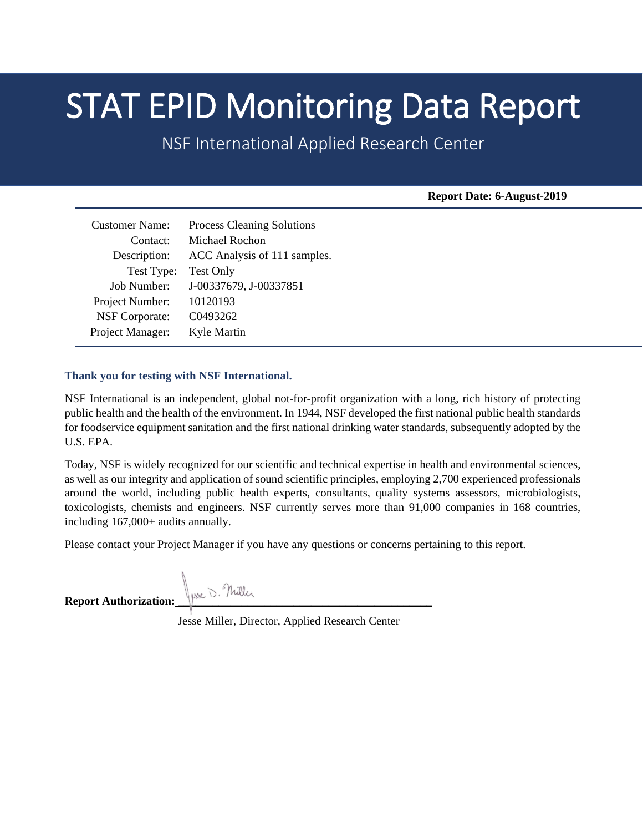# **STAT EPID Monitoring Data Report**<br>NSF International Applied Research Center

**Report Date: 6-August-2019**

| <b>Process Cleaning Solutions</b> |
|-----------------------------------|
| Michael Rochon                    |
| ACC Analysis of 111 samples.      |
| <b>Test Only</b>                  |
| J-00337679, J-00337851            |
| 10120193                          |
| C0493262                          |
| Kyle Martin                       |
|                                   |

### **Thank you for testing with NSF International.**

NSF International is an independent, global not-for-profit organization with a long, rich history of protecting public health and the health of the environment. In 1944, NSF developed the first national public health standards for foodservice equipment sanitation and the first national drinking water standards, subsequently adopted by the U.S. EPA.

Today, NSF is widely recognized for our scientific and technical expertise in health and environmental sciences, as well as our integrity and application of sound scientific principles, employing 2,700 experienced professionals around the world, including public health experts, consultants, quality systems assessors, microbiologists, toxicologists, chemists and engineers. NSF currently serves more than 91,000 companies in 168 countries, including 167,000+ audits annually.

Please contact your Project Manager if you have any questions or concerns pertaining to this report.

Report Authorization: <u>Wese</u> D. Nuller

Jesse Miller, Director, Applied Research Center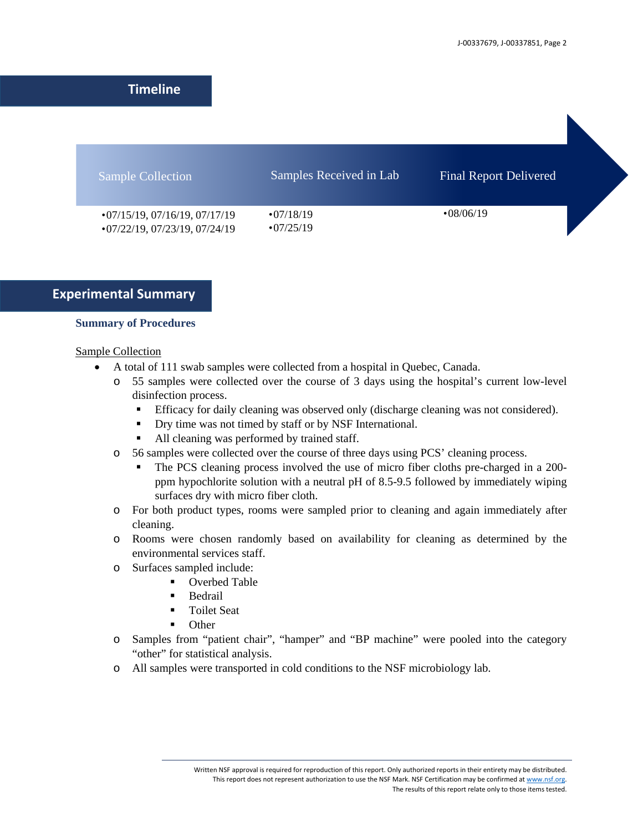# **Timeline**

| <b>Sample Collection</b>                                                     | Samples Received in Lab              | <b>Final Report Delivered</b> |  |
|------------------------------------------------------------------------------|--------------------------------------|-------------------------------|--|
| $\cdot$ 07/15/19, 07/16/19, 07/17/19<br>$\cdot$ 07/22/19, 07/23/19, 07/24/19 | $\cdot$ 07/18/19<br>$\cdot$ 07/25/19 | $\cdot 08/06/19$              |  |

# **Experimental Summary**

### **Summary of Procedures**

### Sample Collection

- A total of 111 swab samples were collected from a hospital in Quebec, Canada.
	- o 55 samples were collected over the course of 3 days using the hospital's current low-level disinfection process.
		- Efficacy for daily cleaning was observed only (discharge cleaning was not considered).
		- Dry time was not timed by staff or by NSF International.
		- All cleaning was performed by trained staff.
	- o 56 samples were collected over the course of three days using PCS' cleaning process.
		- The PCS cleaning process involved the use of micro fiber cloths pre-charged in a 200 ppm hypochlorite solution with a neutral pH of 8.5-9.5 followed by immediately wiping surfaces dry with micro fiber cloth.
	- o For both product types, rooms were sampled prior to cleaning and again immediately after cleaning.
	- o Rooms were chosen randomly based on availability for cleaning as determined by the environmental services staff.
	- o Surfaces sampled include:
		- Overbed Table
		- **Bedrail**
		- Toilet Seat
		- **Other**
	- o Samples from "patient chair", "hamper" and "BP machine" were pooled into the category "other" for statistical analysis.
	- o All samples were transported in cold conditions to the NSF microbiology lab.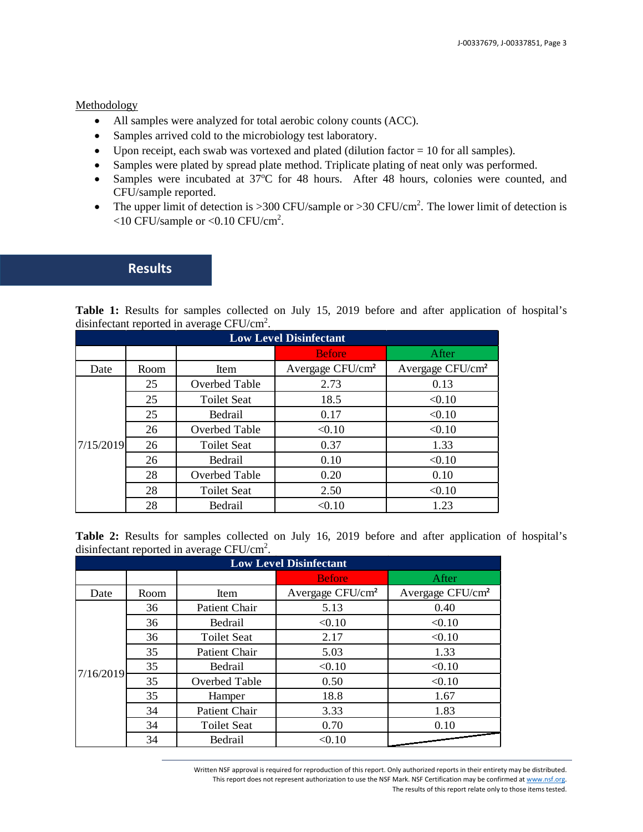### Methodology

- All samples were analyzed for total aerobic colony counts (ACC).
- Samples arrived cold to the microbiology test laboratory.
- Upon receipt, each swab was vortexed and plated (dilution factor  $= 10$  for all samples).
- Samples were plated by spread plate method. Triplicate plating of neat only was performed.
- Samples were incubated at 37°C for 48 hours. After 48 hours, colonies were counted, and CFU/sample reported.
- The upper limit of detection is  $>$  300 CFU/sample or  $>$  30 CFU/cm<sup>2</sup>. The lower limit of detection is  $<$ 10 CFU/sample or  $<$ 0.10 CFU/cm<sup>2</sup>.

## **Results**

Table 1: Results for samples collected on July 15, 2019 before and after application of hospital's disinfectant reported in average  $CFU/cm<sup>2</sup>$ .

| <b>Low Level Disinfectant</b> |      |                    |                              |                              |  |
|-------------------------------|------|--------------------|------------------------------|------------------------------|--|
|                               |      |                    | <b>Before</b>                | After                        |  |
| Date                          | Room | Item               | Avergage CFU/cm <sup>2</sup> | Avergage CFU/cm <sup>2</sup> |  |
|                               | 25   | Overbed Table      | 2.73                         | 0.13                         |  |
|                               | 25   | <b>Toilet Seat</b> | 18.5                         | < 0.10                       |  |
|                               | 25   | Bedrail            | 0.17                         | < 0.10                       |  |
|                               | 26   | Overbed Table      | < 0.10                       | < 0.10                       |  |
| 7/15/2019                     | 26   | <b>Toilet Seat</b> | 0.37                         | 1.33                         |  |
|                               | 26   | Bedrail            | 0.10                         | < 0.10                       |  |
|                               | 28   | Overbed Table      | 0.20                         | 0.10                         |  |
|                               | 28   | <b>Toilet Seat</b> | 2.50                         | < 0.10                       |  |
|                               | 28   | Bedrail            | < 0.10                       | 1.23                         |  |

Table 2: Results for samples collected on July 16, 2019 before and after application of hospital's disinfectant reported in average  $CFU/cm<sup>2</sup>$ .

| <b>Low Level Disinfectant</b> |      |                    |                              |                              |  |
|-------------------------------|------|--------------------|------------------------------|------------------------------|--|
|                               |      |                    | <b>Before</b>                | After                        |  |
| Date                          | Room | Item               | Avergage CFU/cm <sup>2</sup> | Avergage CFU/cm <sup>2</sup> |  |
|                               | 36   | Patient Chair      | 5.13                         | 0.40                         |  |
|                               | 36   | Bedrail            | < 0.10                       | < 0.10                       |  |
|                               | 36   | <b>Toilet Seat</b> | 2.17                         | < 0.10                       |  |
|                               | 35   | Patient Chair      | 5.03                         | 1.33                         |  |
| 7/16/2019                     | 35   | Bedrail            | < 0.10                       | < 0.10                       |  |
|                               | 35   | Overbed Table      | 0.50                         | < 0.10                       |  |
|                               | 35   | Hamper             | 18.8                         | 1.67                         |  |
|                               | 34   | Patient Chair      | 3.33                         | 1.83                         |  |
|                               | 34   | <b>Toilet Seat</b> | 0.70                         | 0.10                         |  |
|                               | 34   | Bedrail            | < 0.10                       |                              |  |

Written NSF approval is required for reproduction of this report. Only authorized reports in their entirety may be distributed. This report does not represent authorization to use the NSF Mark. NSF Certification may be confirmed a[t www.nsf.org.](http://www.nsf.org/) The results of this report relate only to those items tested.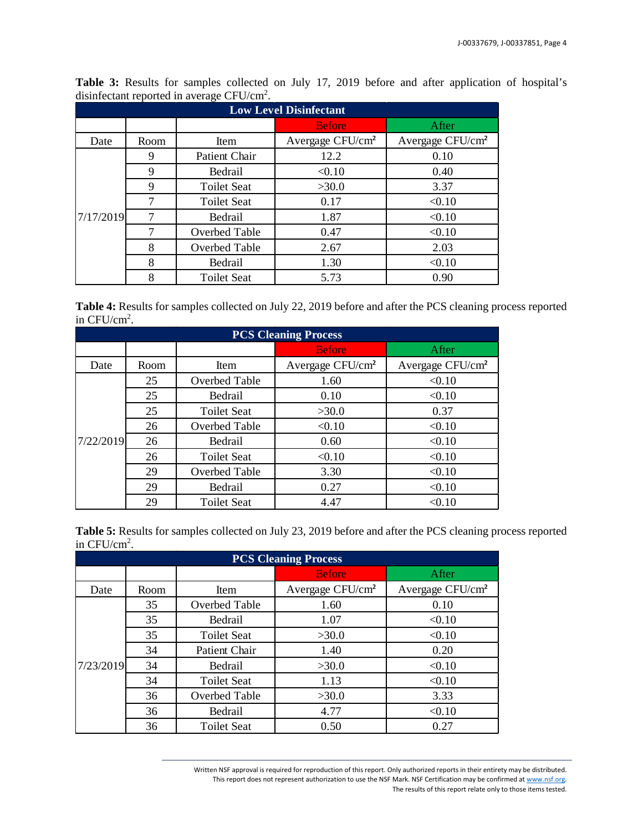| <b>Low Level Disinfectant</b> |      |                    |                              |                              |  |
|-------------------------------|------|--------------------|------------------------------|------------------------------|--|
|                               |      |                    | <b>Before</b>                | After                        |  |
| Date                          | Room | Item               | Avergage CFU/cm <sup>2</sup> | Avergage CFU/cm <sup>2</sup> |  |
|                               | 9    | Patient Chair      | 12.2                         | 0.10                         |  |
|                               | 9    | Bedrail            | < 0.10                       | 0.40                         |  |
|                               | 9    | <b>Toilet Seat</b> | >30.0                        | 3.37                         |  |
|                               | 7    | <b>Toilet Seat</b> | 0.17                         | < 0.10                       |  |
| 7/17/2019                     |      | Bedrail            | 1.87                         | < 0.10                       |  |
|                               |      | Overbed Table      | 0.47                         | < 0.10                       |  |
|                               | 8    | Overbed Table      | 2.67                         | 2.03                         |  |
|                               | 8    | Bedrail            | 1.30                         | < 0.10                       |  |
|                               | 8    | <b>Toilet Seat</b> | 5.73                         | 0.90                         |  |

**Table 3:** Results for samples collected on July 17, 2019 before and after application of hospital's disinfectant reported in average  $CFU/cm<sup>2</sup>$ .

**Table 4:** Results for samples collected on July 22, 2019 before and after the PCS cleaning process reported in  $CFU/cm<sup>2</sup>$ .

| <b>PCS Cleaning Process</b> |      |                    |                              |                              |  |
|-----------------------------|------|--------------------|------------------------------|------------------------------|--|
|                             |      |                    | <b>Before</b>                | After                        |  |
| Date                        | Room | Item               | Avergage CFU/cm <sup>2</sup> | Avergage CFU/cm <sup>2</sup> |  |
|                             | 25   | Overbed Table      | 1.60                         | < 0.10                       |  |
|                             | 25   | Bedrail            | 0.10                         | < 0.10                       |  |
|                             | 25   | <b>Toilet Seat</b> | >30.0                        | 0.37                         |  |
|                             | 26   | Overbed Table      | < 0.10                       | < 0.10                       |  |
| 7/22/2019                   | 26   | Bedrail            | 0.60                         | < 0.10                       |  |
|                             | 26   | <b>Toilet Seat</b> | < 0.10                       | < 0.10                       |  |
|                             | 29   | Overbed Table      | 3.30                         | < 0.10                       |  |
|                             | 29   | Bedrail            | 0.27                         | < 0.10                       |  |
|                             | 29   | <b>Toilet Seat</b> | 4.47                         | < 0.10                       |  |

**Table 5:** Results for samples collected on July 23, 2019 before and after the PCS cleaning process reported in  $CFU/cm<sup>2</sup>$ .

| <b>PCS Cleaning Process</b> |      |                      |                              |                              |  |
|-----------------------------|------|----------------------|------------------------------|------------------------------|--|
|                             |      |                      | <b>Before</b>                | After                        |  |
| Date                        | Room | Item                 | Avergage CFU/cm <sup>2</sup> | Avergage CFU/cm <sup>2</sup> |  |
|                             | 35   | Overbed Table        | 1.60                         | 0.10                         |  |
|                             | 35   | Bedrail              | 1.07                         | < 0.10                       |  |
|                             | 35   | <b>Toilet Seat</b>   | >30.0                        | < 0.10                       |  |
|                             | 34   | <b>Patient Chair</b> | 1.40                         | 0.20                         |  |
| 7/23/2019                   | 34   | Bedrail              | >30.0                        | < 0.10                       |  |
|                             | 34   | <b>Toilet Seat</b>   | 1.13                         | < 0.10                       |  |
|                             | 36   | Overbed Table        | >30.0                        | 3.33                         |  |
|                             | 36   | Bedrail              | 4.77                         | < 0.10                       |  |
|                             | 36   | <b>Toilet Seat</b>   | 0.50                         | 0.27                         |  |

Written NSF approval is required for reproduction of this report. Only authorized reports in their entirety may be distributed. This report does not represent authorization to use the NSF Mark. NSF Certification may be confirmed a[t www.nsf.org.](http://www.nsf.org/) The results of this report relate only to those items tested.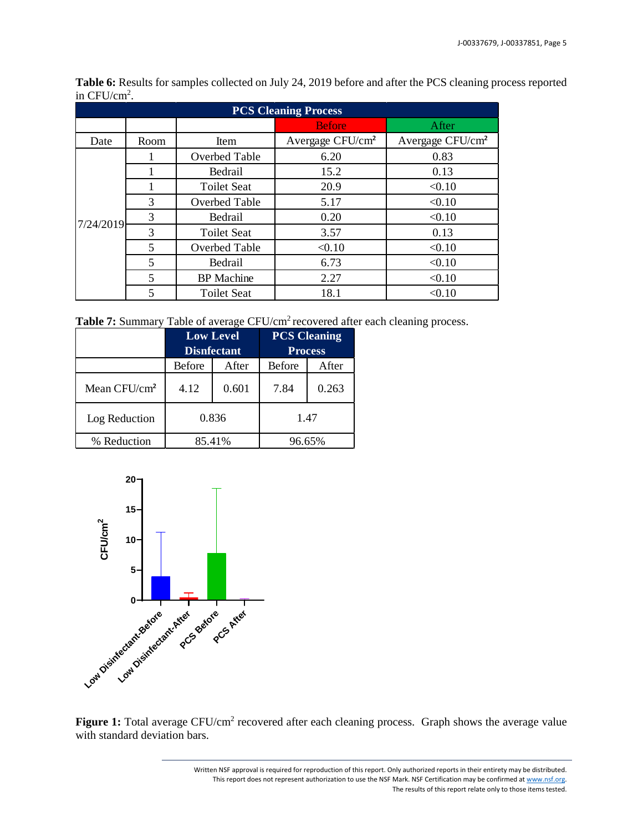| <b>PCS Cleaning Process</b> |                         |                    |                              |                              |  |
|-----------------------------|-------------------------|--------------------|------------------------------|------------------------------|--|
|                             |                         |                    | <b>Before</b>                | After                        |  |
| Date                        | Room                    | Item               | Avergage CFU/cm <sup>2</sup> | Avergage CFU/cm <sup>2</sup> |  |
|                             |                         | Overbed Table      | 6.20                         | 0.83                         |  |
|                             |                         | Bedrail            | 15.2                         | 0.13                         |  |
|                             |                         | <b>Toilet Seat</b> | 20.9                         | < 0.10                       |  |
|                             | 3                       | Overbed Table      | 5.17                         | < 0.10                       |  |
| 7/24/2019                   | 3                       | Bedrail            | 0.20                         | < 0.10                       |  |
|                             | 3                       | <b>Toilet Seat</b> | 3.57                         | 0.13                         |  |
|                             | $\overline{\mathbf{5}}$ | Overbed Table      | < 0.10                       | < 0.10                       |  |
|                             | $\overline{\mathbf{5}}$ | Bedrail            | 6.73                         | < 0.10                       |  |
|                             | 5                       | <b>BP</b> Machine  | 2.27                         | < 0.10                       |  |
|                             | 5                       | <b>Toilet Seat</b> | 18.1                         | < 0.10                       |  |

**Table 6:** Results for samples collected on July 24, 2019 before and after the PCS cleaning process reported in  $CFU/cm<sup>2</sup>$ .

Table 7: Summary Table of average CFU/cm<sup>2</sup> recovered after each cleaning process.

|                          | <b>Low Level</b><br><b>Disnfectant</b> |  | <b>PCS Cleaning</b><br><b>Process</b> |        |
|--------------------------|----------------------------------------|--|---------------------------------------|--------|
|                          | Before<br>After                        |  | <b>Before</b>                         | After  |
| Mean CFU/cm <sup>2</sup> | 0.601<br>4.12                          |  | 7.84                                  | 0.263  |
| Log Reduction            | 0.836                                  |  |                                       | 1.47   |
| % Reduction              | 85.41%                                 |  |                                       | 96.65% |



Figure 1: Total average CFU/cm<sup>2</sup> recovered after each cleaning process. Graph shows the average value with standard deviation bars.

> Written NSF approval is required for reproduction of this report. Only authorized reports in their entirety may be distributed. This report does not represent authorization to use the NSF Mark. NSF Certification may be confirmed a[t www.nsf.org.](http://www.nsf.org/) The results of this report relate only to those items tested.